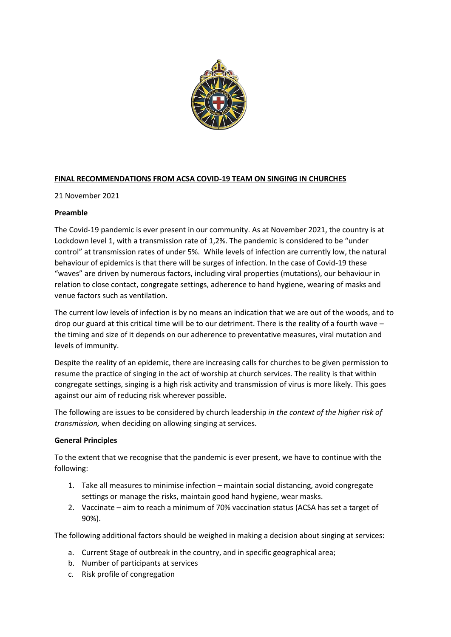

# **FINAL RECOMMENDATIONS FROM ACSA COVID-19 TEAM ON SINGING IN CHURCHES**

21 November 2021

# **Preamble**

The Covid-19 pandemic is ever present in our community. As at November 2021, the country is at Lockdown level 1, with a transmission rate of 1,2%. The pandemic is considered to be "under control" at transmission rates of under 5%. While levels of infection are currently low, the natural behaviour of epidemics is that there will be surges of infection. In the case of Covid-19 these "waves" are driven by numerous factors, including viral properties (mutations), our behaviour in relation to close contact, congregate settings, adherence to hand hygiene, wearing of masks and venue factors such as ventilation.

The current low levels of infection is by no means an indication that we are out of the woods, and to drop our guard at this critical time will be to our detriment. There is the reality of a fourth wave – the timing and size of it depends on our adherence to preventative measures, viral mutation and levels of immunity.

Despite the reality of an epidemic, there are increasing calls for churches to be given permission to resume the practice of singing in the act of worship at church services. The reality is that within congregate settings, singing is a high risk activity and transmission of virus is more likely. This goes against our aim of reducing risk wherever possible.

The following are issues to be considered by church leadership *in the context of the higher risk of transmission,* when deciding on allowing singing at services.

# **General Principles**

To the extent that we recognise that the pandemic is ever present, we have to continue with the following:

- 1. Take all measures to minimise infection maintain social distancing, avoid congregate settings or manage the risks, maintain good hand hygiene, wear masks.
- 2. Vaccinate aim to reach a minimum of 70% vaccination status (ACSA has set a target of 90%).

The following additional factors should be weighed in making a decision about singing at services:

- a. Current Stage of outbreak in the country, and in specific geographical area;
- b. Number of participants at services
- c. Risk profile of congregation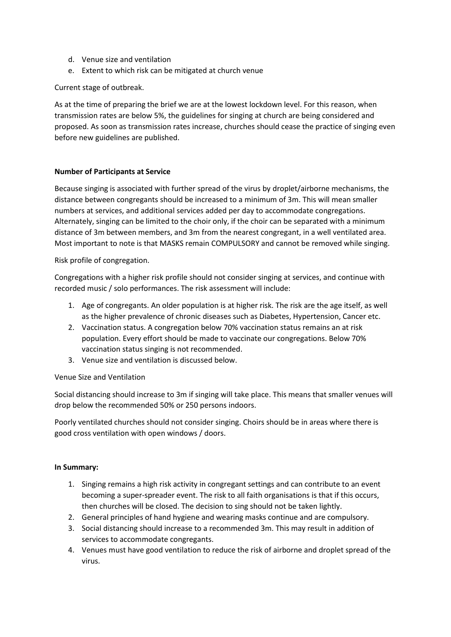- d. Venue size and ventilation
- e. Extent to which risk can be mitigated at church venue

### Current stage of outbreak.

As at the time of preparing the brief we are at the lowest lockdown level. For this reason, when transmission rates are below 5%, the guidelines for singing at church are being considered and proposed. As soon as transmission rates increase, churches should cease the practice of singing even before new guidelines are published.

### **Number of Participants at Service**

Because singing is associated with further spread of the virus by droplet/airborne mechanisms, the distance between congregants should be increased to a minimum of 3m. This will mean smaller numbers at services, and additional services added per day to accommodate congregations. Alternately, singing can be limited to the choir only, if the choir can be separated with a minimum distance of 3m between members, and 3m from the nearest congregant, in a well ventilated area. Most important to note is that MASKS remain COMPULSORY and cannot be removed while singing.

Risk profile of congregation.

Congregations with a higher risk profile should not consider singing at services, and continue with recorded music / solo performances. The risk assessment will include:

- 1. Age of congregants. An older population is at higher risk. The risk are the age itself, as well as the higher prevalence of chronic diseases such as Diabetes, Hypertension, Cancer etc.
- 2. Vaccination status. A congregation below 70% vaccination status remains an at risk population. Every effort should be made to vaccinate our congregations. Below 70% vaccination status singing is not recommended.
- 3. Venue size and ventilation is discussed below.

#### Venue Size and Ventilation

Social distancing should increase to 3m if singing will take place. This means that smaller venues will drop below the recommended 50% or 250 persons indoors.

Poorly ventilated churches should not consider singing. Choirs should be in areas where there is good cross ventilation with open windows / doors.

### **In Summary:**

- 1. Singing remains a high risk activity in congregant settings and can contribute to an event becoming a super-spreader event. The risk to all faith organisations is that if this occurs, then churches will be closed. The decision to sing should not be taken lightly.
- 2. General principles of hand hygiene and wearing masks continue and are compulsory.
- 3. Social distancing should increase to a recommended 3m. This may result in addition of services to accommodate congregants.
- 4. Venues must have good ventilation to reduce the risk of airborne and droplet spread of the virus.